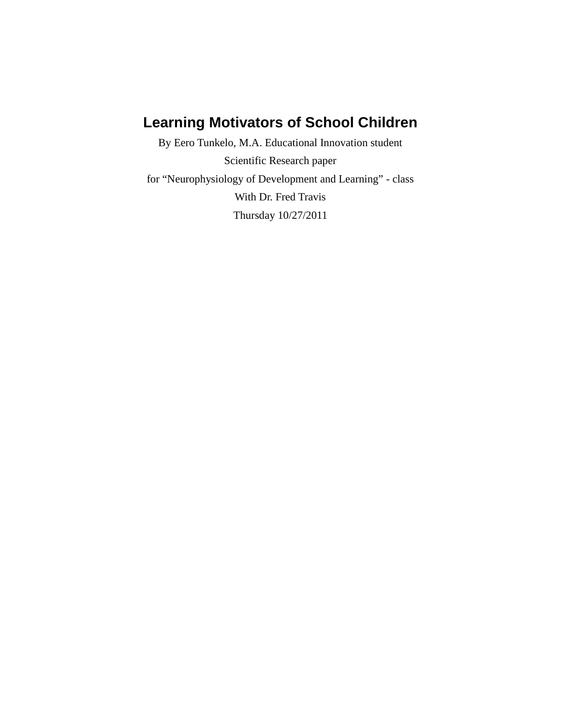# **Learning Motivators of School Children**

By Eero Tunkelo, M.A. Educational Innovation student Scientific Research paper for "Neurophysiology of Development and Learning" - class With Dr. Fred Travis Thursday 10/27/2011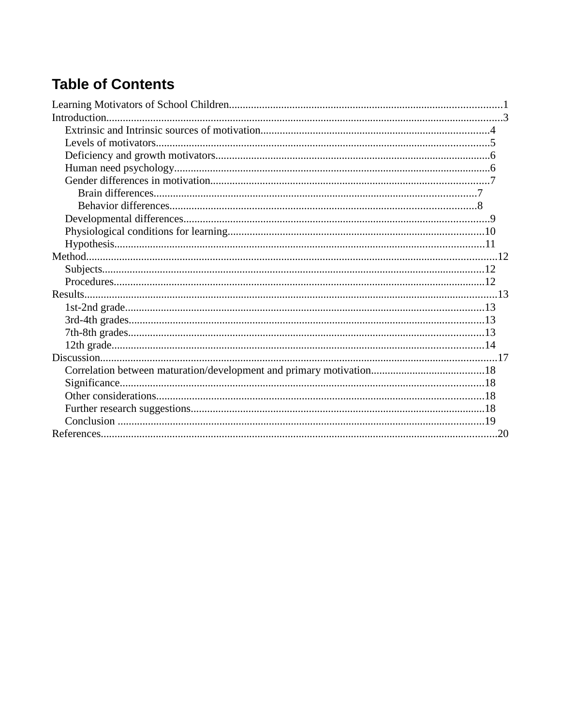# **Table of Contents**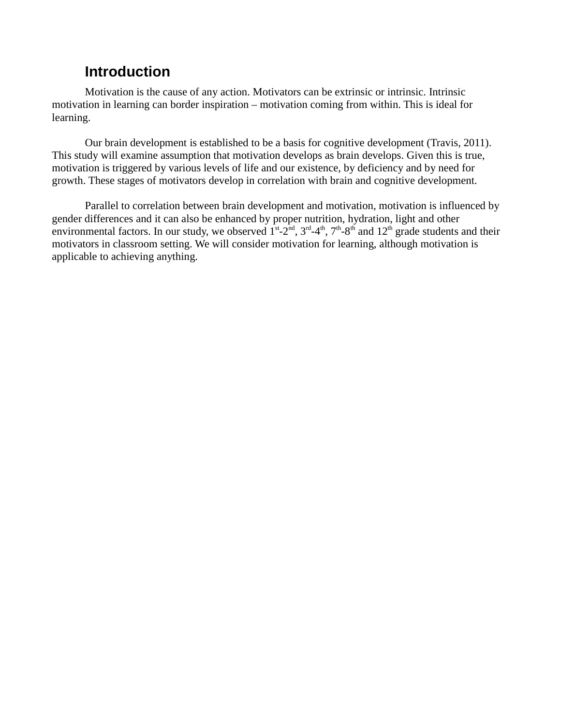# **Introduction**

Motivation is the cause of any action. Motivators can be extrinsic or intrinsic. Intrinsic motivation in learning can border inspiration – motivation coming from within. This is ideal for learning.

Our brain development is established to be a basis for cognitive development (Travis, 2011). This study will examine assumption that motivation develops as brain develops. Given this is true, motivation is triggered by various levels of life and our existence, by deficiency and by need for growth. These stages of motivators develop in correlation with brain and cognitive development.

Parallel to correlation between brain development and motivation, motivation is influenced by gender differences and it can also be enhanced by proper nutrition, hydration, light and other environmental factors. In our study, we observed  $1^{st}$ -2<sup>nd</sup>,  $3^{rd}$ -4<sup>th</sup>,  $7^{th}$ -8<sup>th</sup> and  $12^{th}$  grade students and their motivators in classroom setting. We will consider motivation for learning, although motivation is applicable to achieving anything.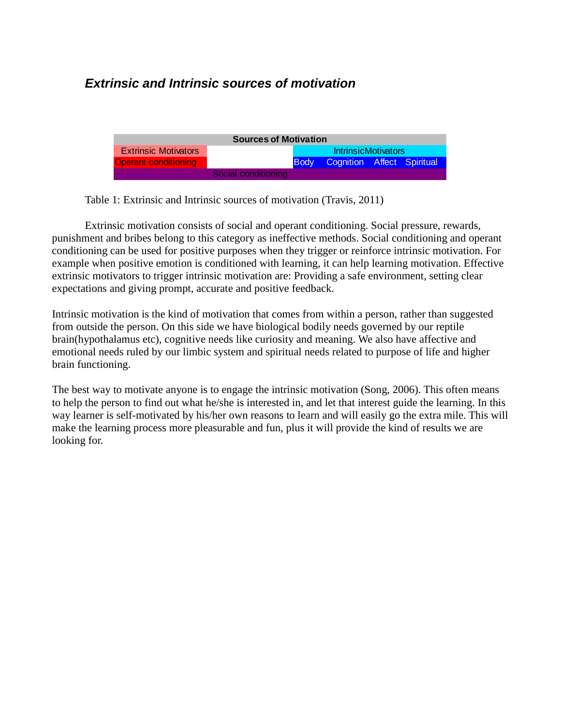# **Extrinsic and Intrinsic sources of motivation**

| <b>Sources of Motivation</b> |                     |             |                            |  |  |
|------------------------------|---------------------|-------------|----------------------------|--|--|
| <b>Extrinsic Motivators</b>  |                     |             | <b>IntrinsicMotivators</b> |  |  |
| <b>Operant conditioning</b>  |                     | <b>Body</b> | Cognition Affect Spiritual |  |  |
|                              | Social conditioning |             |                            |  |  |

Table 1: Extrinsic and Intrinsic sources of motivation (Travis, 2011)

Extrinsic motivation consists of social and operant conditioning. Social pressure, rewards, punishment and bribes belong to this category as ineffective methods. Social conditioning and operant conditioning can be used for positive purposes when they trigger or reinforce intrinsic motivation. For example when positive emotion is conditioned with learning, it can help learning motivation. Effective extrinsic motivators to trigger intrinsic motivation are: Providing a safe environment, setting clear expectations and giving prompt, accurate and positive feedback.

Intrinsic motivation is the kind of motivation that comes from within a person, rather than suggested from outside the person. On this side we have biological bodily needs governed by our reptile brain(hypothalamus etc), cognitive needs like curiosity and meaning. We also have affective and emotional needs ruled by our limbic system and spiritual needs related to purpose of life and higher brain functioning.

The best way to motivate anyone is to engage the intrinsic motivation (Song, 2006). This often means to help the person to find out what he/she is interested in, and let that interest guide the learning. In this way learner is self-motivated by his/her own reasons to learn and will easily go the extra mile. This will make the learning process more pleasurable and fun, plus it will provide the kind of results we are looking for.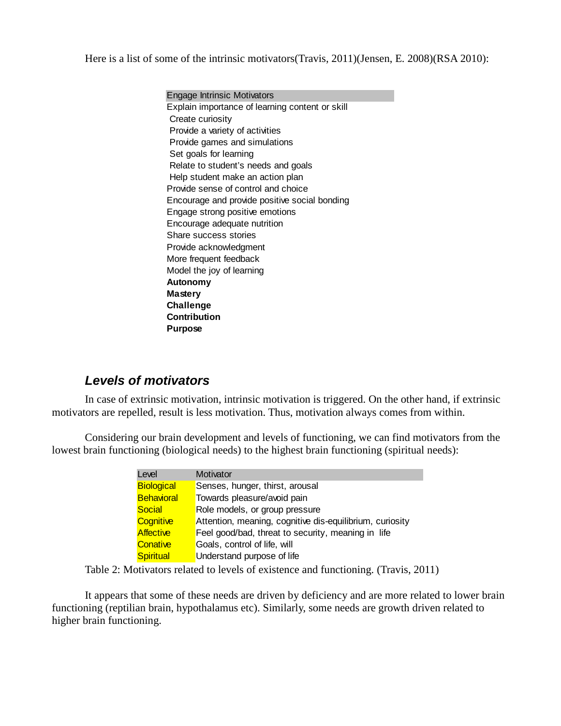Here is a list of some of the intrinsic motivators(Travis, 2011)(Jensen, E. 2008)(RSA 2010):

Engage Intrinsic Motivators Explain importance of learning content or skill Create curiosity Provide a variety of activities Provide games and simulations Set goals for learning Relate to student's needs and goals Help student make an action plan Provide sense of control and choice Encourage and provide positive social bonding Engage strong positive emotions Encourage adequate nutrition Share success stories Provide acknowledgment More frequent feedback Model the joy of learning **Autonomy Mastery Challenge Contribution Purpose**

### **Levels of motivators**

In case of extrinsic motivation, intrinsic motivation is triggered. On the other hand, if extrinsic motivators are repelled, result is less motivation. Thus, motivation always comes from within.

Considering our brain development and levels of functioning, we can find motivators from the lowest brain functioning (biological needs) to the highest brain functioning (spiritual needs):

| Level             | Motivator                                                |
|-------------------|----------------------------------------------------------|
| <b>Biological</b> | Senses, hunger, thirst, arousal                          |
| <b>Behavioral</b> | Towards pleasure/avoid pain                              |
| Social            | Role models, or group pressure                           |
| <b>Cognitive</b>  | Attention, meaning, cognitive dis-equilibrium, curiosity |
| <b>Affective</b>  | Feel good/bad, threat to security, meaning in life       |
| Conative          | Goals, control of life, will                             |
| <b>Spiritual</b>  | Understand purpose of life                               |

Table 2: Motivators related to levels of existence and functioning. (Travis, 2011)

It appears that some of these needs are driven by deficiency and are more related to lower brain functioning (reptilian brain, hypothalamus etc). Similarly, some needs are growth driven related to higher brain functioning.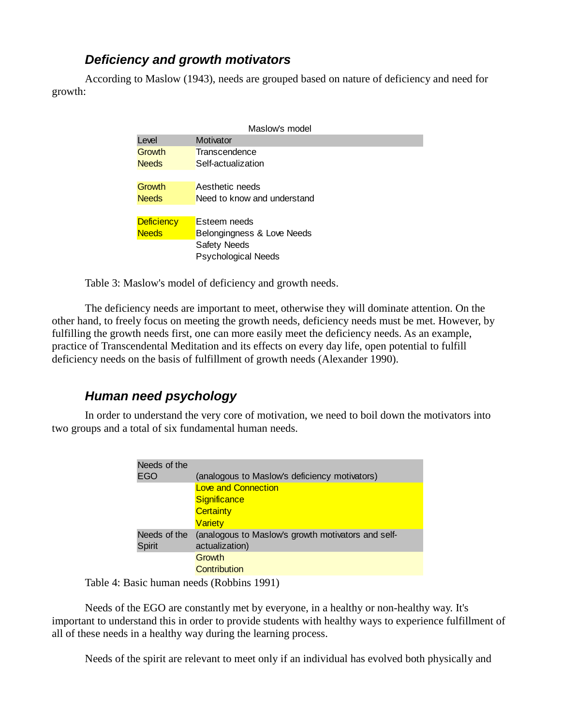## **Deficiency and growth motivators**

According to Maslow (1943), needs are grouped based on nature of deficiency and need for growth:

| Maslow's model    |                             |  |  |
|-------------------|-----------------------------|--|--|
| Level             | Motivator                   |  |  |
| Growth            | Transcendence               |  |  |
| <b>Needs</b>      | Self-actualization          |  |  |
|                   |                             |  |  |
| Growth            | Aesthetic needs             |  |  |
| <b>Needs</b>      | Need to know and understand |  |  |
|                   |                             |  |  |
| <b>Deficiency</b> | Esteem needs                |  |  |
| <b>Needs</b>      | Belongingness & Love Needs  |  |  |
|                   | Safety Needs                |  |  |
|                   | <b>Psychological Needs</b>  |  |  |

Table 3: Maslow's model of deficiency and growth needs.

The deficiency needs are important to meet, otherwise they will dominate attention. On the other hand, to freely focus on meeting the growth needs, deficiency needs must be met. However, by fulfilling the growth needs first, one can more easily meet the deficiency needs. As an example, practice of Transcendental Meditation and its effects on every day life, open potential to fulfill deficiency needs on the basis of fulfillment of growth needs (Alexander 1990).

# **Human need psychology**

In order to understand the very core of motivation, we need to boil down the motivators into two groups and a total of six fundamental human needs.

| Needs of the<br>EGO | (analogous to Maslow's deficiency motivators)      |
|---------------------|----------------------------------------------------|
|                     |                                                    |
|                     | <b>Love and Connection</b>                         |
|                     | Significance                                       |
|                     | <b>Certainty</b>                                   |
|                     | <b>Variety</b>                                     |
| Needs of the        | (analogous to Maslow's growth motivators and self- |
| Spirit              | actualization)                                     |
|                     | Growth                                             |
|                     | Contribution                                       |

Table 4: Basic human needs (Robbins 1991)

Needs of the EGO are constantly met by everyone, in a healthy or non-healthy way. It's important to understand this in order to provide students with healthy ways to experience fulfillment of all of these needs in a healthy way during the learning process.

Needs of the spirit are relevant to meet only if an individual has evolved both physically and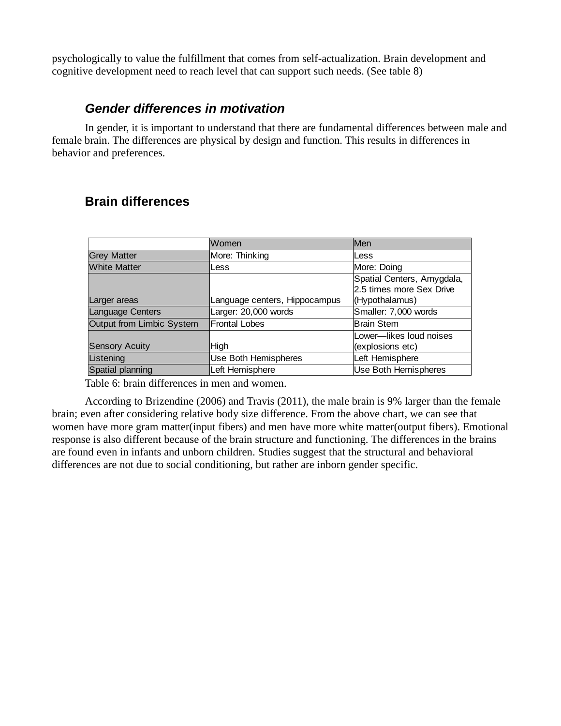psychologically to value the fulfillment that comes from self-actualization. Brain development and cognitive development need to reach level that can support such needs. (See table 8)

#### **Gender differences in motivation**

In gender, it is important to understand that there are fundamental differences between male and female brain. The differences are physical by design and function. This results in differences in behavior and preferences.

### **Brain differences**

|                           | Women                         | Men                        |
|---------------------------|-------------------------------|----------------------------|
| <b>Grey Matter</b>        | More: Thinking                | Less                       |
| <b>White Matter</b>       | Less                          | More: Doing                |
|                           |                               | Spatial Centers, Amygdala, |
|                           |                               | 2.5 times more Sex Drive   |
| Larger areas              | Language centers, Hippocampus | (Hypothalamus)             |
| Language Centers          | Larger: 20,000 words          | Smaller: 7,000 words       |
| Output from Limbic System | <b>Frontal Lobes</b>          | Brain Stem                 |
|                           |                               | Lower-likes loud noises    |
| <b>Sensory Acuity</b>     | High                          | (explosions etc)           |
| Listening                 | Use Both Hemispheres          | Left Hemisphere            |
| Spatial planning          | Left Hemisphere               | Use Both Hemispheres       |

Table 6: brain differences in men and women.

According to Brizendine (2006) and Travis (2011), the male brain is 9% larger than the female brain; even after considering relative body size difference. From the above chart, we can see that women have more gram matter(input fibers) and men have more white matter(output fibers). Emotional response is also different because of the brain structure and functioning. The differences in the brains are found even in infants and unborn children. Studies suggest that the structural and behavioral differences are not due to social conditioning, but rather are inborn gender specific.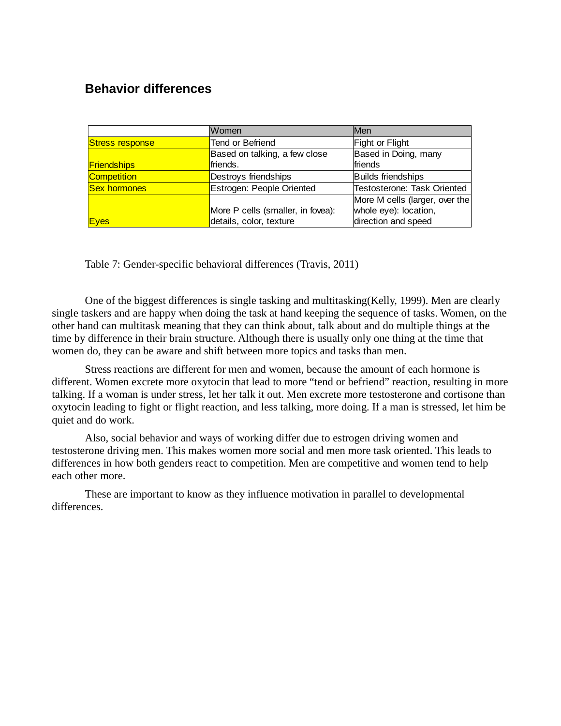### **Behavior differences**

|                                                  | Women                             | Men                         |
|--------------------------------------------------|-----------------------------------|-----------------------------|
| <b>Stress response</b>                           | Tend or Befriend                  | Fight or Flight             |
|                                                  | Based on talking, a few close     | Based in Doing, many        |
| <b>Friendships</b>                               | friends.                          | friends                     |
| Competition                                      | Destroys friendships              | Builds friendships          |
| Estrogen: People Oriented<br><b>Sex hormones</b> |                                   | Testosterone: Task Oriented |
|                                                  | More M cells (larger, over the    |                             |
|                                                  | More P cells (smaller, in fovea): | whole eye): location,       |
| Eyes                                             | details, color, texture           | direction and speed         |

Table 7: Gender-specific behavioral differences (Travis, 2011)

One of the biggest differences is single tasking and multitasking(Kelly, 1999). Men are clearly single taskers and are happy when doing the task at hand keeping the sequence of tasks. Women, on the other hand can multitask meaning that they can think about, talk about and do multiple things at the time by difference in their brain structure. Although there is usually only one thing at the time that women do, they can be aware and shift between more topics and tasks than men.

Stress reactions are different for men and women, because the amount of each hormone is different. Women excrete more oxytocin that lead to more "tend or befriend" reaction, resulting in more talking. If a woman is under stress, let her talk it out. Men excrete more testosterone and cortisone than oxytocin leading to fight or flight reaction, and less talking, more doing. If a man is stressed, let him be quiet and do work.

Also, social behavior and ways of working differ due to estrogen driving women and testosterone driving men. This makes women more social and men more task oriented. This leads to differences in how both genders react to competition. Men are competitive and women tend to help each other more.

These are important to know as they influence motivation in parallel to developmental differences.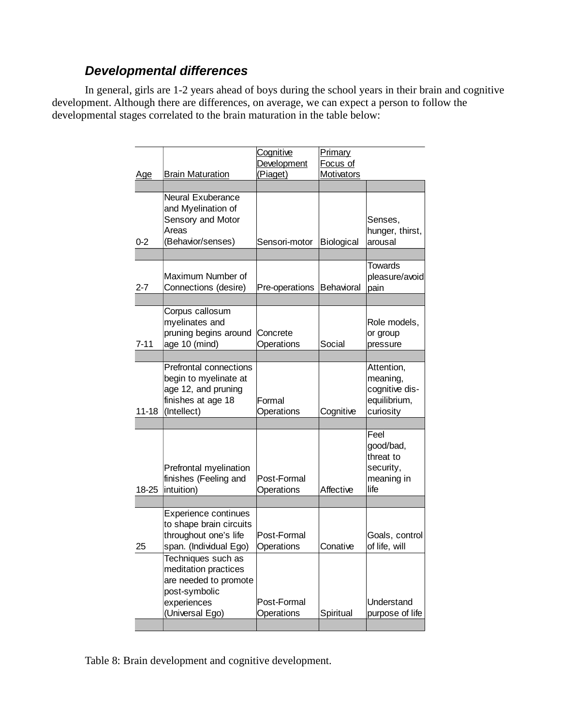## **Developmental differences**

In general, girls are 1-2 years ahead of boys during the school years in their brain and cognitive development. Although there are differences, on average, we can expect a person to follow the developmental stages correlated to the brain maturation in the table below:

| <u>Age</u> | <b>Brain Maturation</b>                                                                                                | Cognitive<br>Development<br>(Piaget) | <b>Primary</b><br>Focus of<br>Motivators |                                                                       |
|------------|------------------------------------------------------------------------------------------------------------------------|--------------------------------------|------------------------------------------|-----------------------------------------------------------------------|
|            |                                                                                                                        |                                      |                                          |                                                                       |
| $0 - 2$    | <b>Neural Exuberance</b><br>and Myelination of<br>Sensory and Motor<br>Areas<br>(Behavior/senses)                      | Sensori-motor                        | Biological                               | Senses,<br>hunger, thirst,<br>arousal                                 |
|            |                                                                                                                        |                                      |                                          |                                                                       |
| $2 - 7$    | Maximum Number of<br>Connections (desire)                                                                              | Pre-operations                       | Behavioral                               | <b>Towards</b><br>pleasure/avoid<br>pain                              |
|            | Corpus callosum                                                                                                        |                                      |                                          |                                                                       |
| $7 - 11$   | myelinates and<br>pruning begins around<br>age 10 (mind)                                                               | Concrete<br>Operations               | Social                                   | Role models,<br>or group<br>pressure                                  |
|            |                                                                                                                        |                                      |                                          |                                                                       |
| $11 - 18$  | <b>Prefrontal connections</b><br>begin to myelinate at<br>age 12, and pruning<br>finishes at age 18<br>(Intellect)     | Formal<br>Operations                 | Cognitive                                | Attention,<br>meaning,<br>cognitive dis-<br>equilibrium,<br>curiosity |
|            |                                                                                                                        |                                      |                                          |                                                                       |
| 18-25      | Prefrontal myelination<br>finishes (Feeling and<br>intuition)                                                          | Post-Formal<br>Operations            | Affective                                | Feel<br>good/bad,<br>threat to<br>security,<br>meaning in<br>life     |
|            |                                                                                                                        |                                      |                                          |                                                                       |
| 25         | Experience continues<br>to shape brain circuits<br>throughout one's life<br>span. (Individual Ego)                     | Post-Formal<br>Operations            | Conative                                 | Goals, control<br>of life, will                                       |
|            | Techniques such as<br>meditation practices<br>are needed to promote<br>post-symbolic<br>experiences<br>(Universal Ego) | Post-Formal<br>Operations            | Spiritual                                | Understand<br>purpose of life                                         |
|            |                                                                                                                        |                                      |                                          |                                                                       |

Table 8: Brain development and cognitive development.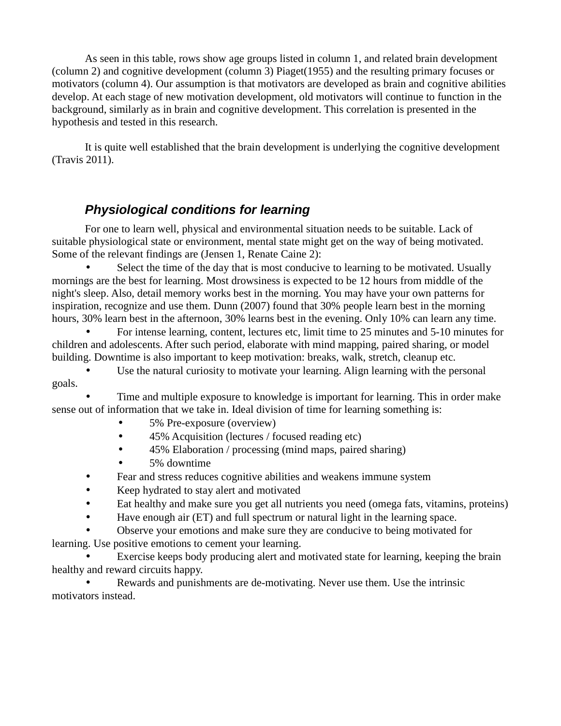As seen in this table, rows show age groups listed in column 1, and related brain development (column 2) and cognitive development (column 3) Piaget(1955) and the resulting primary focuses or motivators (column 4). Our assumption is that motivators are developed as brain and cognitive abilities develop. At each stage of new motivation development, old motivators will continue to function in the background, similarly as in brain and cognitive development. This correlation is presented in the hypothesis and tested in this research.

It is quite well established that the brain development is underlying the cognitive development (Travis 2011).

# **Physiological conditions for learning**

For one to learn well, physical and environmental situation needs to be suitable. Lack of suitable physiological state or environment, mental state might get on the way of being motivated. Some of the relevant findings are (Jensen 1, Renate Caine 2):

Select the time of the day that is most conducive to learning to be motivated. Usually mornings are the best for learning. Most drowsiness is expected to be 12 hours from middle of the night's sleep. Also, detail memory works best in the morning. You may have your own patterns for inspiration, recognize and use them. Dunn (2007) found that 30% people learn best in the morning hours, 30% learn best in the afternoon, 30% learns best in the evening. Only 10% can learn any time.

• For intense learning, content, lectures etc, limit time to 25 minutes and 5-10 minutes for children and adolescents. After such period, elaborate with mind mapping, paired sharing, or model building. Downtime is also important to keep motivation: breaks, walk, stretch, cleanup etc.

• Use the natural curiosity to motivate your learning. Align learning with the personal goals.

• Time and multiple exposure to knowledge is important for learning. This in order make sense out of information that we take in. Ideal division of time for learning something is:

- 5% Pre-exposure (overview)
- 45% Acquisition (lectures / focused reading etc)
- 45% Elaboration / processing (mind maps, paired sharing)
- 5% downtime
- Fear and stress reduces cognitive abilities and weakens immune system
- Keep hydrated to stay alert and motivated
- Eat healthy and make sure you get all nutrients you need (omega fats, vitamins, proteins)
- Have enough air (ET) and full spectrum or natural light in the learning space.

• Observe your emotions and make sure they are conducive to being motivated for learning. Use positive emotions to cement your learning.

Exercise keeps body producing alert and motivated state for learning, keeping the brain healthy and reward circuits happy.

• Rewards and punishments are de-motivating. Never use them. Use the intrinsic motivators instead.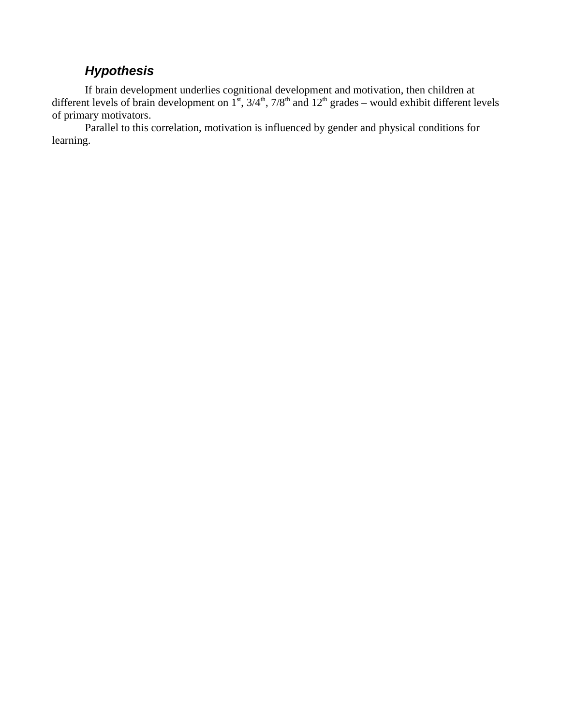## **Hypothesis**

If brain development underlies cognitional development and motivation, then children at different levels of brain development on  $1^{st}$ ,  $3/4^{th}$ ,  $7/8^{th}$  and  $12^{th}$  grades – would exhibit different levels of primary motivators.

Parallel to this correlation, motivation is influenced by gender and physical conditions for learning.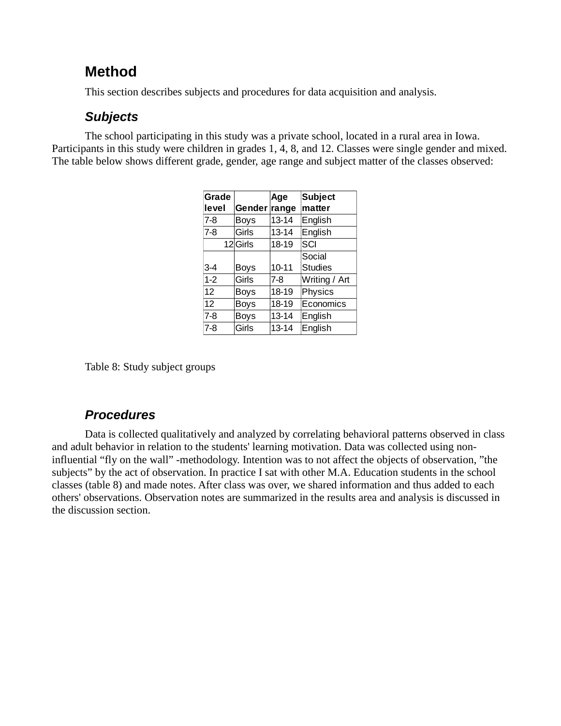# **Method**

This section describes subjects and procedures for data acquisition and analysis.

### **Subjects**

The school participating in this study was a private school, located in a rural area in Iowa. Participants in this study were children in grades 1, 4, 8, and 12. Classes were single gender and mixed. The table below shows different grade, gender, age range and subject matter of the classes observed:

| Grade   |              | Age       | <b>Subject</b> |
|---------|--------------|-----------|----------------|
| level   | Gender range |           | matter         |
| $7-8$   | Boys         | $13 - 14$ | English        |
| $7-8$   | Girls        | 13-14     | English        |
|         | 12Girls      | 18-19     | SCI            |
|         |              |           | Social         |
| $3 - 4$ | Boys         | $10 - 11$ | <b>Studies</b> |
| $1 - 2$ | Girls        | 7-8       | Writing / Art  |
| 12      | <b>Boys</b>  | 18-19     | Physics        |
| 12      | <b>Boys</b>  | 18-19     | Economics      |
| $7-8$   | <b>Boys</b>  | $13 - 14$ | English        |
| $7-8$   | Girls        | 13-14     | English        |

Table 8: Study subject groups

#### **Procedures**

Data is collected qualitatively and analyzed by correlating behavioral patterns observed in class and adult behavior in relation to the students' learning motivation. Data was collected using noninfluential "fly on the wall" -methodology. Intention was to not affect the objects of observation, "the subjects" by the act of observation. In practice I sat with other M.A. Education students in the school classes (table 8) and made notes. After class was over, we shared information and thus added to each others' observations. Observation notes are summarized in the results area and analysis is discussed in the discussion section.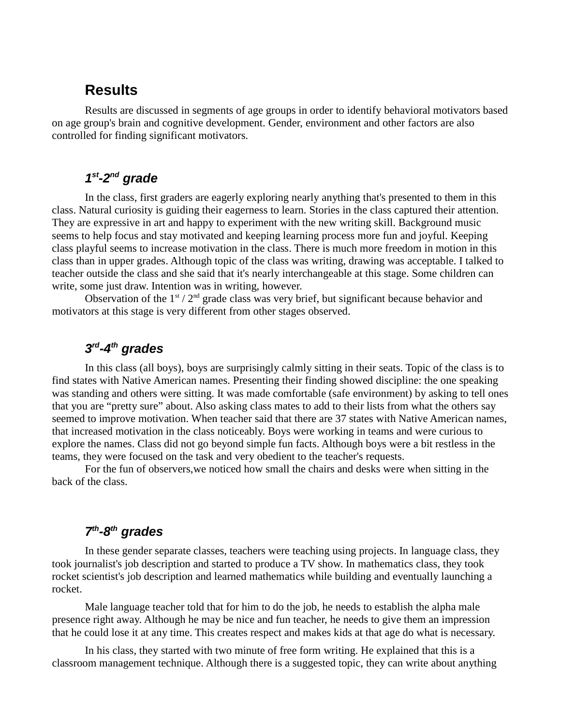### **Results**

Results are discussed in segments of age groups in order to identify behavioral motivators based on age group's brain and cognitive development. Gender, environment and other factors are also controlled for finding significant motivators.

#### **1 st-2nd grade**

In the class, first graders are eagerly exploring nearly anything that's presented to them in this class. Natural curiosity is guiding their eagerness to learn. Stories in the class captured their attention. They are expressive in art and happy to experiment with the new writing skill. Background music seems to help focus and stay motivated and keeping learning process more fun and joyful. Keeping class playful seems to increase motivation in the class. There is much more freedom in motion in this class than in upper grades. Although topic of the class was writing, drawing was acceptable. I talked to teacher outside the class and she said that it's nearly interchangeable at this stage. Some children can write, some just draw. Intention was in writing, however.

Observation of the  $1<sup>st</sup> / 2<sup>nd</sup>$  grade class was very brief, but significant because behavior and motivators at this stage is very different from other stages observed.

### **3 rd-4th grades**

In this class (all boys), boys are surprisingly calmly sitting in their seats. Topic of the class is to find states with Native American names. Presenting their finding showed discipline: the one speaking was standing and others were sitting. It was made comfortable (safe environment) by asking to tell ones that you are "pretty sure" about. Also asking class mates to add to their lists from what the others say seemed to improve motivation. When teacher said that there are 37 states with Native American names, that increased motivation in the class noticeably. Boys were working in teams and were curious to explore the names. Class did not go beyond simple fun facts. Although boys were a bit restless in the teams, they were focused on the task and very obedient to the teacher's requests.

For the fun of observers,we noticed how small the chairs and desks were when sitting in the back of the class.

### **7 th-8th grades**

In these gender separate classes, teachers were teaching using projects. In language class, they took journalist's job description and started to produce a TV show. In mathematics class, they took rocket scientist's job description and learned mathematics while building and eventually launching a rocket.

Male language teacher told that for him to do the job, he needs to establish the alpha male presence right away. Although he may be nice and fun teacher, he needs to give them an impression that he could lose it at any time. This creates respect and makes kids at that age do what is necessary.

In his class, they started with two minute of free form writing. He explained that this is a classroom management technique. Although there is a suggested topic, they can write about anything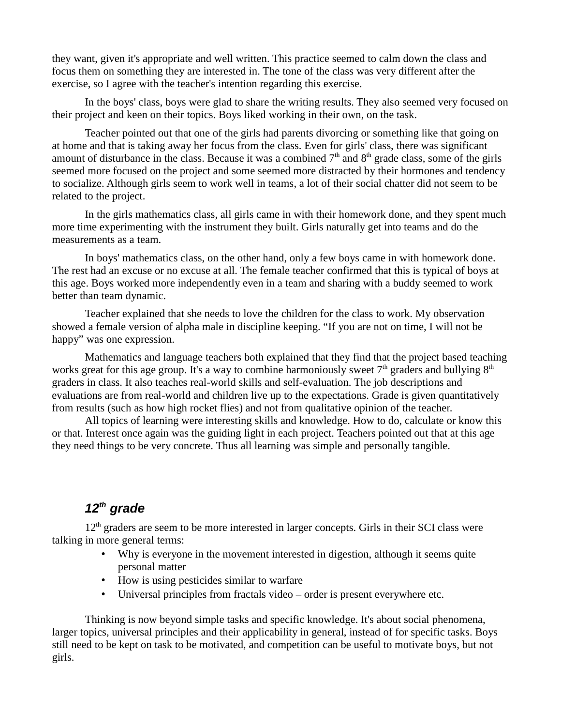they want, given it's appropriate and well written. This practice seemed to calm down the class and focus them on something they are interested in. The tone of the class was very different after the exercise, so I agree with the teacher's intention regarding this exercise.

In the boys' class, boys were glad to share the writing results. They also seemed very focused on their project and keen on their topics. Boys liked working in their own, on the task.

Teacher pointed out that one of the girls had parents divorcing or something like that going on at home and that is taking away her focus from the class. Even for girls' class, there was significant amount of disturbance in the class. Because it was a combined  $7<sup>th</sup>$  and  $8<sup>th</sup>$  grade class, some of the girls seemed more focused on the project and some seemed more distracted by their hormones and tendency to socialize. Although girls seem to work well in teams, a lot of their social chatter did not seem to be related to the project.

In the girls mathematics class, all girls came in with their homework done, and they spent much more time experimenting with the instrument they built. Girls naturally get into teams and do the measurements as a team.

In boys' mathematics class, on the other hand, only a few boys came in with homework done. The rest had an excuse or no excuse at all. The female teacher confirmed that this is typical of boys at this age. Boys worked more independently even in a team and sharing with a buddy seemed to work better than team dynamic.

Teacher explained that she needs to love the children for the class to work. My observation showed a female version of alpha male in discipline keeping. "If you are not on time, I will not be happy" was one expression.

Mathematics and language teachers both explained that they find that the project based teaching works great for this age group. It's a way to combine harmoniously sweet  $7<sup>th</sup>$  graders and bullying  $8<sup>th</sup>$ graders in class. It also teaches real-world skills and self-evaluation. The job descriptions and evaluations are from real-world and children live up to the expectations. Grade is given quantitatively from results (such as how high rocket flies) and not from qualitative opinion of the teacher.

All topics of learning were interesting skills and knowledge. How to do, calculate or know this or that. Interest once again was the guiding light in each project. Teachers pointed out that at this age they need things to be very concrete. Thus all learning was simple and personally tangible.

## **12th grade**

 $12<sup>th</sup>$  graders are seem to be more interested in larger concepts. Girls in their SCI class were talking in more general terms:

- Why is everyone in the movement interested in digestion, although it seems quite personal matter
- How is using pesticides similar to warfare
- Universal principles from fractals video order is present everywhere etc.

Thinking is now beyond simple tasks and specific knowledge. It's about social phenomena, larger topics, universal principles and their applicability in general, instead of for specific tasks. Boys still need to be kept on task to be motivated, and competition can be useful to motivate boys, but not girls.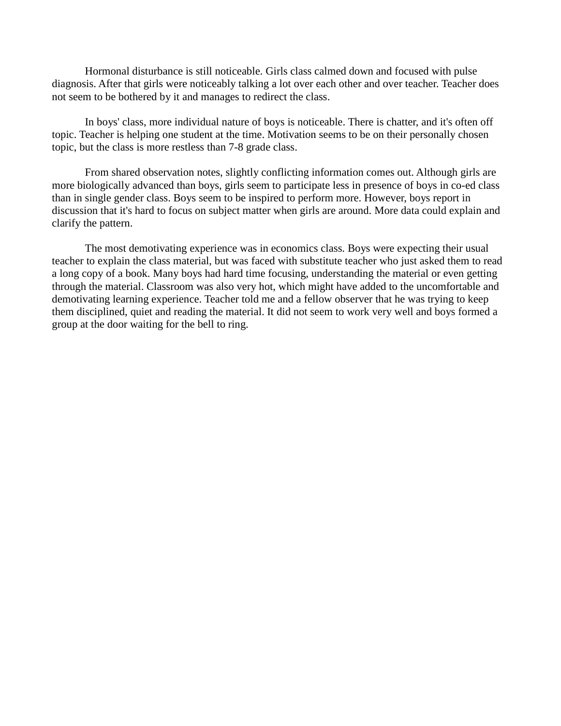Hormonal disturbance is still noticeable. Girls class calmed down and focused with pulse diagnosis. After that girls were noticeably talking a lot over each other and over teacher. Teacher does not seem to be bothered by it and manages to redirect the class.

In boys' class, more individual nature of boys is noticeable. There is chatter, and it's often off topic. Teacher is helping one student at the time. Motivation seems to be on their personally chosen topic, but the class is more restless than 7-8 grade class.

From shared observation notes, slightly conflicting information comes out. Although girls are more biologically advanced than boys, girls seem to participate less in presence of boys in co-ed class than in single gender class. Boys seem to be inspired to perform more. However, boys report in discussion that it's hard to focus on subject matter when girls are around. More data could explain and clarify the pattern.

The most demotivating experience was in economics class. Boys were expecting their usual teacher to explain the class material, but was faced with substitute teacher who just asked them to read a long copy of a book. Many boys had hard time focusing, understanding the material or even getting through the material. Classroom was also very hot, which might have added to the uncomfortable and demotivating learning experience. Teacher told me and a fellow observer that he was trying to keep them disciplined, quiet and reading the material. It did not seem to work very well and boys formed a group at the door waiting for the bell to ring.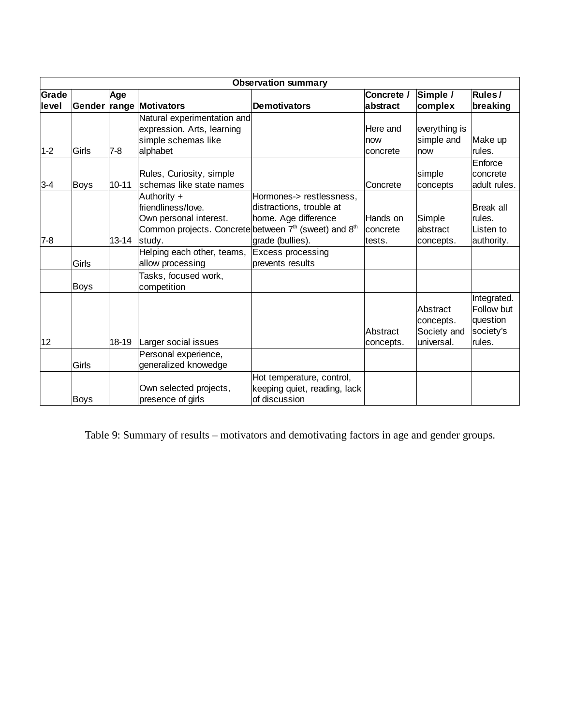|                | <b>Observation summary</b> |           |                                                                                                                                                        |                                                                                                  |                                |                                                    |                                                              |
|----------------|----------------------------|-----------|--------------------------------------------------------------------------------------------------------------------------------------------------------|--------------------------------------------------------------------------------------------------|--------------------------------|----------------------------------------------------|--------------------------------------------------------------|
| Grade<br>level |                            | Age       | Gender range Motivators                                                                                                                                | Demotivators                                                                                     | Concrete /<br>abstract         | Simple /<br>complex                                | Rules/<br>breaking                                           |
| $1 - 2$        | Girls                      | $7 - 8$   | Natural experimentation and<br>expression. Arts, learning<br>simple schemas like<br>alphabet                                                           |                                                                                                  | Here and<br>now<br>concrete    | everything is<br>simple and<br>now                 | Make up<br>rules.                                            |
| $3 - 4$        | Boys                       | $10 - 11$ | Rules, Curiosity, simple<br>schemas like state names                                                                                                   |                                                                                                  | Concrete                       | simple<br>concepts                                 | Enforce<br>concrete<br>adult rules.                          |
| $7-8$          |                            | $13 - 14$ | Authority +<br>friendliness/love.<br>Own personal interest.<br>Common projects. Concrete between 7 <sup>th</sup> (sweet) and 8 <sup>th</sup><br>study. | Hormones-> restlessness,<br>distractions, trouble at<br>home. Age difference<br>grade (bullies). | Hands on<br>concrete<br>tests. | Simple<br>abstract<br>concepts.                    | Break all<br>rules.<br>Listen to<br>authority.               |
|                | Girls                      |           | Helping each other, teams,<br>allow processing                                                                                                         | Excess processing<br>prevents results                                                            |                                |                                                    |                                                              |
|                | Boys                       |           | Tasks, focused work,<br>competition                                                                                                                    |                                                                                                  |                                |                                                    |                                                              |
| 12             |                            | 18-19     | Larger social issues                                                                                                                                   |                                                                                                  | Abstract<br>concepts.          | Abstract<br>concepts.<br>Society and<br>universal. | Integrated.<br>Follow but<br>question<br>society's<br>rules. |
|                | Girls                      |           | Personal experience,<br>generalized knowedge                                                                                                           |                                                                                                  |                                |                                                    |                                                              |
|                | <b>Boys</b>                |           | Own selected projects,<br>presence of girls                                                                                                            | Hot temperature, control,<br>keeping quiet, reading, lack<br>of discussion                       |                                |                                                    |                                                              |

Table 9: Summary of results – motivators and demotivating factors in age and gender groups.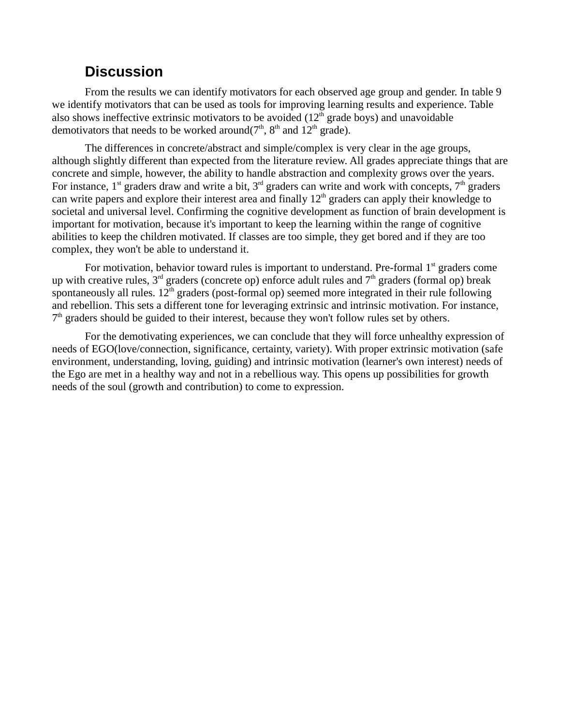# **Discussion**

From the results we can identify motivators for each observed age group and gender. In table 9 we identify motivators that can be used as tools for improving learning results and experience. Table also shows ineffective extrinsic motivators to be avoided  $(12<sup>th</sup>$  grade boys) and unavoidable demotivators that needs to be worked around( $7<sup>th</sup>$ ,  $8<sup>th</sup>$  and  $12<sup>th</sup>$  grade).

The differences in concrete/abstract and simple/complex is very clear in the age groups, although slightly different than expected from the literature review. All grades appreciate things that are concrete and simple, however, the ability to handle abstraction and complexity grows over the years. For instance,  $1^{st}$  graders draw and write a bit,  $3^{rd}$  graders can write and work with concepts,  $7^{th}$  graders can write papers and explore their interest area and finally 12<sup>th</sup> graders can apply their knowledge to societal and universal level. Confirming the cognitive development as function of brain development is important for motivation, because it's important to keep the learning within the range of cognitive abilities to keep the children motivated. If classes are too simple, they get bored and if they are too complex, they won't be able to understand it.

For motivation, behavior toward rules is important to understand. Pre-formal  $1<sup>st</sup>$  graders come up with creative rules,  $3<sup>rd</sup>$  graders (concrete op) enforce adult rules and  $7<sup>th</sup>$  graders (formal op) break spontaneously all rules.  $12<sup>th</sup>$  graders (post-formal op) seemed more integrated in their rule following and rebellion. This sets a different tone for leveraging extrinsic and intrinsic motivation. For instance, 7<sup>th</sup> graders should be guided to their interest, because they won't follow rules set by others.

For the demotivating experiences, we can conclude that they will force unhealthy expression of needs of EGO(love/connection, significance, certainty, variety). With proper extrinsic motivation (safe environment, understanding, loving, guiding) and intrinsic motivation (learner's own interest) needs of the Ego are met in a healthy way and not in a rebellious way. This opens up possibilities for growth needs of the soul (growth and contribution) to come to expression.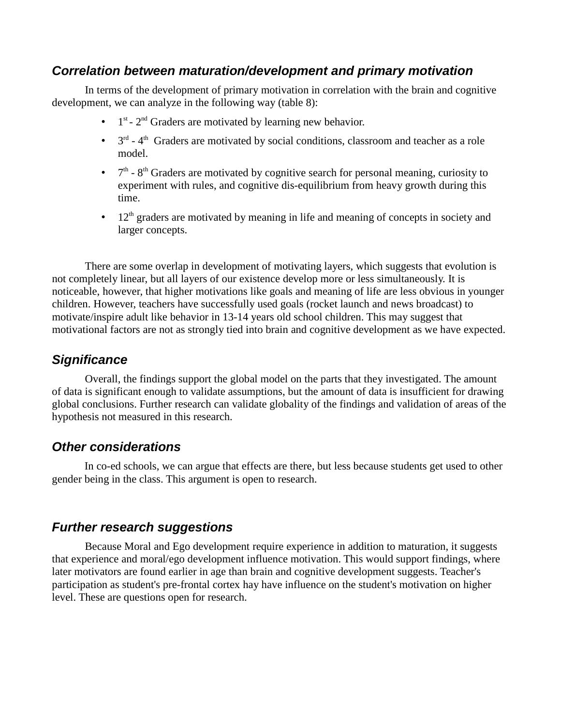### **Correlation between maturation/development and primary motivation**

In terms of the development of primary motivation in correlation with the brain and cognitive development, we can analyze in the following way (table 8):

- 1  $1<sup>st</sup>$  -  $2<sup>nd</sup>$  Graders are motivated by learning new behavior.
- $\bullet$  3<sup>rd</sup> 4<sup>th</sup> Graders are motivated by social conditions, classroom and teacher as a role model.
- $\bullet$  7<sup>th</sup> 8<sup>th</sup> Graders are motivated by cognitive search for personal meaning, curiosity to experiment with rules, and cognitive dis-equilibrium from heavy growth during this time.
- $\cdot$  12<sup>th</sup> graders are motivated by meaning in life and meaning of concepts in society and larger concepts.

There are some overlap in development of motivating layers, which suggests that evolution is not completely linear, but all layers of our existence develop more or less simultaneously. It is noticeable, however, that higher motivations like goals and meaning of life are less obvious in younger children. However, teachers have successfully used goals (rocket launch and news broadcast) to motivate/inspire adult like behavior in 13-14 years old school children. This may suggest that motivational factors are not as strongly tied into brain and cognitive development as we have expected.

### **Significance**

Overall, the findings support the global model on the parts that they investigated. The amount of data is significant enough to validate assumptions, but the amount of data is insufficient for drawing global conclusions. Further research can validate globality of the findings and validation of areas of the hypothesis not measured in this research.

#### **Other considerations**

In co-ed schools, we can argue that effects are there, but less because students get used to other gender being in the class. This argument is open to research.

#### **Further research suggestions**

Because Moral and Ego development require experience in addition to maturation, it suggests that experience and moral/ego development influence motivation. This would support findings, where later motivators are found earlier in age than brain and cognitive development suggests. Teacher's participation as student's pre-frontal cortex hay have influence on the student's motivation on higher level. These are questions open for research.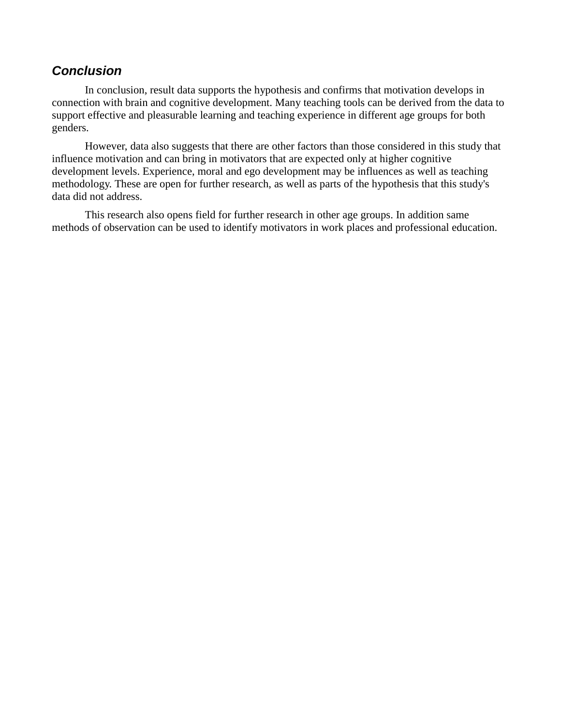#### **Conclusion**

In conclusion, result data supports the hypothesis and confirms that motivation develops in connection with brain and cognitive development. Many teaching tools can be derived from the data to support effective and pleasurable learning and teaching experience in different age groups for both genders.

However, data also suggests that there are other factors than those considered in this study that influence motivation and can bring in motivators that are expected only at higher cognitive development levels. Experience, moral and ego development may be influences as well as teaching methodology. These are open for further research, as well as parts of the hypothesis that this study's data did not address.

This research also opens field for further research in other age groups. In addition same methods of observation can be used to identify motivators in work places and professional education.